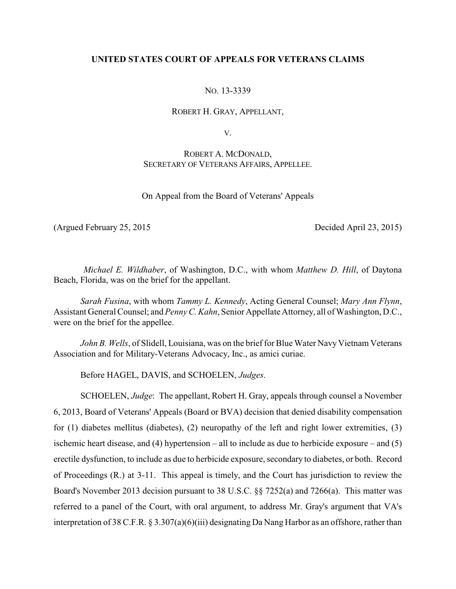### **UNITED STATES COURT OF APPEALS FOR VETERANS CLAIMS**

NO. 13-3339

ROBERT H. GRAY, APPELLANT,

V.

## ROBERT A. MCDONALD, SECRETARY OF VETERANS AFFAIRS, APPELLEE.

On Appeal from the Board of Veterans' Appeals

(Argued February 25, 2015 Decided April 23, 2015)

*Michael E. Wildhaber*, of Washington, D.C., with whom *Matthew D. Hill*, of Daytona Beach, Florida, was on the brief for the appellant.

*Sarah Fusina*, with whom *Tammy L. Kennedy*, Acting General Counsel; *Mary Ann Flynn*, Assistant General Counsel; and *PennyC. Kahn*, Senior Appellate Attorney, all of Washington, D.C., were on the brief for the appellee.

*John B. Wells*, of Slidell, Louisiana, was on the brief for Blue Water Navy Vietnam Veterans Association and for Military-Veterans Advocacy, Inc., as amici curiae.

Before HAGEL, DAVIS, and SCHOELEN, *Judges*.

SCHOELEN, *Judge*: The appellant, Robert H. Gray, appeals through counsel a November 6, 2013, Board of Veterans' Appeals (Board or BVA) decision that denied disability compensation for (1) diabetes mellitus (diabetes), (2) neuropathy of the left and right lower extremities, (3) ischemic heart disease, and (4) hypertension – all to include as due to herbicide exposure – and (5) erectile dysfunction, to include as due to herbicide exposure, secondary to diabetes, or both. Record of Proceedings (R.) at 3-11. This appeal is timely, and the Court has jurisdiction to review the Board's November 2013 decision pursuant to 38 U.S.C. §§ 7252(a) and 7266(a). This matter was referred to a panel of the Court, with oral argument, to address Mr. Gray's argument that VA's interpretation of 38 C.F.R. § 3.307(a)(6)(iii) designating Da Nang Harbor as an offshore, rather than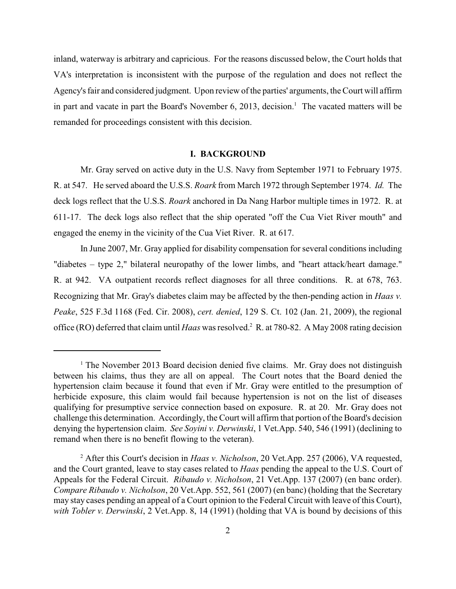inland, waterway is arbitrary and capricious. For the reasons discussed below, the Court holds that VA's interpretation is inconsistent with the purpose of the regulation and does not reflect the Agency's fair and considered judgment. Upon review of the parties' arguments, the Court will affirm in part and vacate in part the Board's November 6, 2013, decision.<sup>1</sup> The vacated matters will be remanded for proceedings consistent with this decision.

#### **I. BACKGROUND**

Mr. Gray served on active duty in the U.S. Navy from September 1971 to February 1975. R. at 547. He served aboard the U.S.S. *Roark* from March 1972 through September 1974. *Id.* The deck logs reflect that the U.S.S. *Roark* anchored in Da Nang Harbor multiple times in 1972. R. at 611-17. The deck logs also reflect that the ship operated "off the Cua Viet River mouth" and engaged the enemy in the vicinity of the Cua Viet River. R. at 617.

In June 2007, Mr. Gray applied for disability compensation for several conditions including "diabetes – type 2," bilateral neuropathy of the lower limbs, and "heart attack/heart damage." R. at 942. VA outpatient records reflect diagnoses for all three conditions. R. at 678, 763. Recognizing that Mr. Gray's diabetes claim may be affected by the then-pending action in *Haas v. Peake*, 525 F.3d 1168 (Fed. Cir. 2008), *cert. denied*, 129 S. Ct. 102 (Jan. 21, 2009), the regional office (RO) deferred that claim until *Haas* was resolved.<sup>2</sup> R. at 780-82. A May 2008 rating decision

 $<sup>1</sup>$  The November 2013 Board decision denied five claims. Mr. Gray does not distinguish</sup> between his claims, thus they are all on appeal. The Court notes that the Board denied the hypertension claim because it found that even if Mr. Gray were entitled to the presumption of herbicide exposure, this claim would fail because hypertension is not on the list of diseases qualifying for presumptive service connection based on exposure. R. at 20. Mr. Gray does not challenge this determination. Accordingly, the Court will affirm that portion of the Board's decision denying the hypertension claim. *See Soyini v. Derwinski*, 1 Vet.App. 540, 546 (1991) (declining to remand when there is no benefit flowing to the veteran).

After this Court's decision in *Haas v. Nicholson*, 20 Vet.App. 257 (2006), VA requested, <sup>2</sup> and the Court granted, leave to stay cases related to *Haas* pending the appeal to the U.S. Court of Appeals for the Federal Circuit. *Ribaudo v. Nicholson*, 21 Vet.App. 137 (2007) (en banc order). *Compare Ribaudo v. Nicholson*, 20 Vet.App. 552, 561 (2007) (en banc) (holding that the Secretary may stay cases pending an appeal of a Court opinion to the Federal Circuit with leave of this Court), *with Tobler v. Derwinski*, 2 Vet.App. 8, 14 (1991) (holding that VA is bound by decisions of this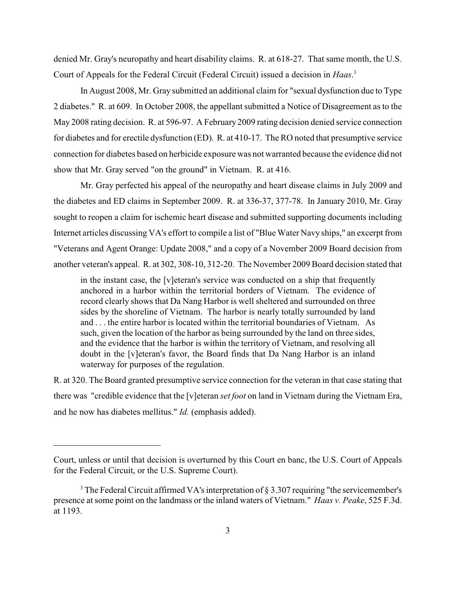denied Mr. Gray's neuropathy and heart disability claims. R. at 618-27. That same month, the U.S. Court of Appeals for the Federal Circuit (Federal Circuit) issued a decision in *Haas*. 3

In August 2008, Mr. Gray submitted an additional claim for "sexual dysfunction due to Type 2 diabetes." R. at 609. In October 2008, the appellant submitted a Notice of Disagreement as to the May 2008 rating decision. R. at 596-97. A February 2009 rating decision denied service connection for diabetes and for erectile dysfunction (ED). R. at 410-17. The RO noted that presumptive service connection for diabetes based on herbicide exposure was not warranted because the evidence did not show that Mr. Gray served "on the ground" in Vietnam. R. at 416.

Mr. Gray perfected his appeal of the neuropathy and heart disease claims in July 2009 and the diabetes and ED claims in September 2009. R. at 336-37, 377-78. In January 2010, Mr. Gray sought to reopen a claim for ischemic heart disease and submitted supporting documents including Internet articles discussing VA's effort to compile a list of "Blue Water Navy ships," an excerpt from "Veterans and Agent Orange: Update 2008," and a copy of a November 2009 Board decision from another veteran's appeal. R. at 302, 308-10, 312-20. The November 2009 Board decision stated that

in the instant case, the [v]eteran's service was conducted on a ship that frequently anchored in a harbor within the territorial borders of Vietnam. The evidence of record clearly shows that Da Nang Harbor is well sheltered and surrounded on three sides by the shoreline of Vietnam. The harbor is nearly totally surrounded by land and . . . the entire harbor is located within the territorial boundaries of Vietnam. As such, given the location of the harbor as being surrounded by the land on three sides, and the evidence that the harbor is within the territory of Vietnam, and resolving all doubt in the [v]eteran's favor, the Board finds that Da Nang Harbor is an inland waterway for purposes of the regulation.

R. at 320. The Board granted presumptive service connection for the veteran in that case stating that there was "credible evidence that the [v]eteran *set foot* on land in Vietnam during the Vietnam Era, and he now has diabetes mellitus." *Id.* (emphasis added).

Court, unless or until that decision is overturned by this Court en banc, the U.S. Court of Appeals for the Federal Circuit, or the U.S. Supreme Court).

<sup>&</sup>lt;sup>3</sup> The Federal Circuit affirmed VA's interpretation of  $\S 3.307$  requiring "the servicemember's presence at some point on the landmass or the inland waters of Vietnam." *Haas v. Peake*, 525 F.3d. at 1193.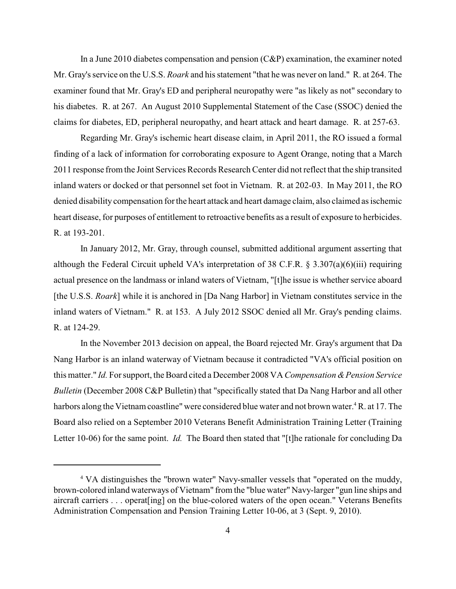In a June 2010 diabetes compensation and pension  $(C\&P)$  examination, the examiner noted Mr. Gray's service on the U.S.S. *Roark* and his statement "that he was never on land." R. at 264. The examiner found that Mr. Gray's ED and peripheral neuropathy were "as likely as not" secondary to his diabetes. R. at 267. An August 2010 Supplemental Statement of the Case (SSOC) denied the claims for diabetes, ED, peripheral neuropathy, and heart attack and heart damage. R. at 257-63.

Regarding Mr. Gray's ischemic heart disease claim, in April 2011, the RO issued a formal finding of a lack of information for corroborating exposure to Agent Orange, noting that a March 2011 response from the Joint Services Records Research Center did not reflect that the ship transited inland waters or docked or that personnel set foot in Vietnam. R. at 202-03. In May 2011, the RO denied disability compensation for the heart attack and heart damage claim, also claimed as ischemic heart disease, for purposes of entitlement to retroactive benefits as a result of exposure to herbicides. R. at 193-201.

In January 2012, Mr. Gray, through counsel, submitted additional argument asserting that although the Federal Circuit upheld VA's interpretation of 38 C.F.R. § 3.307(a)(6)(iii) requiring actual presence on the landmass or inland waters of Vietnam, "[t]he issue is whether service aboard [the U.S.S. *Roark*] while it is anchored in [Da Nang Harbor] in Vietnam constitutes service in the inland waters of Vietnam." R. at 153. A July 2012 SSOC denied all Mr. Gray's pending claims. R. at 124-29.

In the November 2013 decision on appeal, the Board rejected Mr. Gray's argument that Da Nang Harbor is an inland waterway of Vietnam because it contradicted "VA's official position on this matter." *Id.* For support, the Board cited a December 2008 VA *Compensation & Pension Service Bulletin* (December 2008 C&P Bulletin) that "specifically stated that Da Nang Harbor and all other harbors along the Vietnam coastline" were considered blue water and not brown water. ${}^4R$ , at 17. The Board also relied on a September 2010 Veterans Benefit Administration Training Letter (Training Letter 10-06) for the same point. *Id.* The Board then stated that "[t]he rationale for concluding Da

<sup>&</sup>lt;sup>4</sup> VA distinguishes the "brown water" Navy-smaller vessels that "operated on the muddy, brown-colored inland waterways of Vietnam" from the "blue water" Navy-larger "gun line ships and aircraft carriers . . . operat[ing] on the blue-colored waters of the open ocean." Veterans Benefits Administration Compensation and Pension Training Letter 10-06, at 3 (Sept. 9, 2010).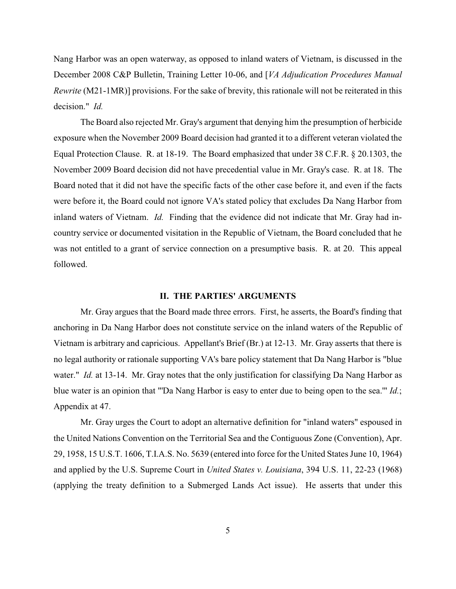Nang Harbor was an open waterway, as opposed to inland waters of Vietnam, is discussed in the December 2008 C&P Bulletin, Training Letter 10-06, and [*VA Adjudication Procedures Manual Rewrite* (M21-1MR)] provisions. For the sake of brevity, this rationale will not be reiterated in this decision." *Id.*

The Board also rejected Mr. Gray's argument that denying him the presumption of herbicide exposure when the November 2009 Board decision had granted it to a different veteran violated the Equal Protection Clause. R. at 18-19. The Board emphasized that under 38 C.F.R. § 20.1303, the November 2009 Board decision did not have precedential value in Mr. Gray's case. R. at 18. The Board noted that it did not have the specific facts of the other case before it, and even if the facts were before it, the Board could not ignore VA's stated policy that excludes Da Nang Harbor from inland waters of Vietnam. *Id.* Finding that the evidence did not indicate that Mr. Gray had incountry service or documented visitation in the Republic of Vietnam, the Board concluded that he was not entitled to a grant of service connection on a presumptive basis. R. at 20. This appeal followed.

## **II. THE PARTIES' ARGUMENTS**

Mr. Gray argues that the Board made three errors. First, he asserts, the Board's finding that anchoring in Da Nang Harbor does not constitute service on the inland waters of the Republic of Vietnam is arbitrary and capricious. Appellant's Brief (Br.) at 12-13. Mr. Gray asserts that there is no legal authority or rationale supporting VA's bare policy statement that Da Nang Harbor is "blue water." *Id.* at 13-14. Mr. Gray notes that the only justification for classifying Da Nang Harbor as blue water is an opinion that "'Da Nang Harbor is easy to enter due to being open to the sea.'" *Id.*; Appendix at 47.

Mr. Gray urges the Court to adopt an alternative definition for "inland waters" espoused in the United Nations Convention on the Territorial Sea and the Contiguous Zone (Convention), Apr. 29, 1958, 15 U.S.T. 1606, T.I.A.S. No. 5639 (entered into force for the United States June 10, 1964) and applied by the U.S. Supreme Court in *United States v. Louisiana*, 394 U.S. 11, 22-23 (1968) (applying the treaty definition to a Submerged Lands Act issue). He asserts that under this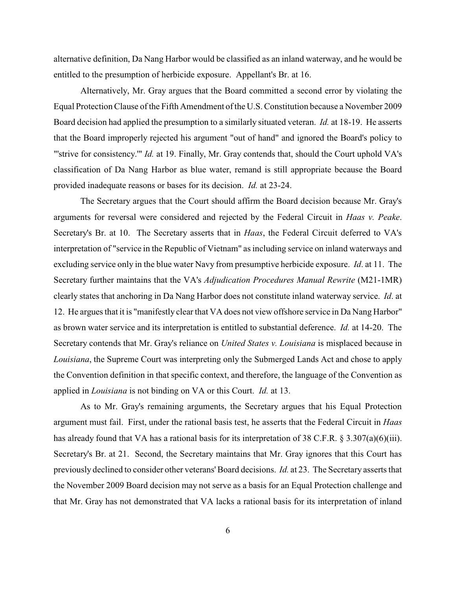alternative definition, Da Nang Harbor would be classified as an inland waterway, and he would be entitled to the presumption of herbicide exposure. Appellant's Br. at 16.

Alternatively, Mr. Gray argues that the Board committed a second error by violating the Equal Protection Clause of the Fifth Amendment of the U.S. Constitution because a November 2009 Board decision had applied the presumption to a similarly situated veteran. *Id.* at 18-19. He asserts that the Board improperly rejected his argument "out of hand" and ignored the Board's policy to "'strive for consistency.'" *Id.* at 19. Finally, Mr. Gray contends that, should the Court uphold VA's classification of Da Nang Harbor as blue water, remand is still appropriate because the Board provided inadequate reasons or bases for its decision. *Id.* at 23-24.

The Secretary argues that the Court should affirm the Board decision because Mr. Gray's arguments for reversal were considered and rejected by the Federal Circuit in *Haas v. Peake*. Secretary's Br. at 10. The Secretary asserts that in *Haas*, the Federal Circuit deferred to VA's interpretation of "service in the Republic of Vietnam" as including service on inland waterways and excluding service only in the blue water Navy from presumptive herbicide exposure. *Id*. at 11. The Secretary further maintains that the VA's *Adjudication Procedures Manual Rewrite* (M21-1MR) clearly states that anchoring in Da Nang Harbor does not constitute inland waterway service. *Id*. at 12. He argues that it is "manifestly clear that VA does not view offshore service in Da Nang Harbor" as brown water service and its interpretation is entitled to substantial deference. *Id.* at 14-20. The Secretary contends that Mr. Gray's reliance on *United States v. Louisiana* is misplaced because in *Louisiana*, the Supreme Court was interpreting only the Submerged Lands Act and chose to apply the Convention definition in that specific context, and therefore, the language of the Convention as applied in *Louisiana* is not binding on VA or this Court. *Id.* at 13.

As to Mr. Gray's remaining arguments, the Secretary argues that his Equal Protection argument must fail. First, under the rational basis test, he asserts that the Federal Circuit in *Haas* has already found that VA has a rational basis for its interpretation of 38 C.F.R. § 3.307(a)(6)(iii). Secretary's Br. at 21. Second, the Secretary maintains that Mr. Gray ignores that this Court has previously declined to consider other veterans'Board decisions. *Id.* at 23. The Secretary asserts that the November 2009 Board decision may not serve as a basis for an Equal Protection challenge and that Mr. Gray has not demonstrated that VA lacks a rational basis for its interpretation of inland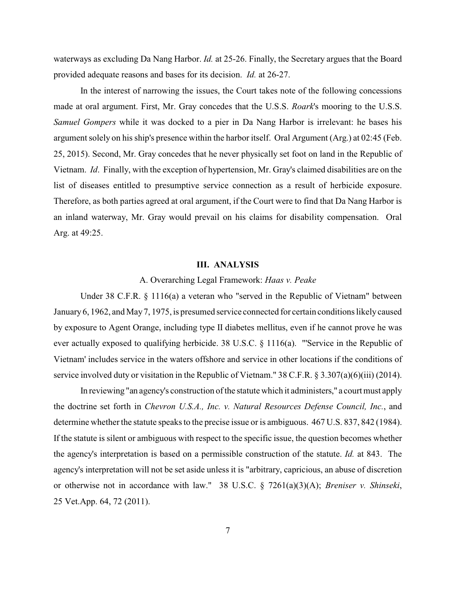waterways as excluding Da Nang Harbor. *Id.* at 25-26. Finally, the Secretary argues that the Board provided adequate reasons and bases for its decision. *Id.* at 26-27.

In the interest of narrowing the issues, the Court takes note of the following concessions made at oral argument. First, Mr. Gray concedes that the U.S.S. *Roark*'s mooring to the U.S.S. *Samuel Gompers* while it was docked to a pier in Da Nang Harbor is irrelevant: he bases his argument solely on his ship's presence within the harbor itself. Oral Argument (Arg.) at 02:45 (Feb. 25, 2015). Second, Mr. Gray concedes that he never physically set foot on land in the Republic of Vietnam. *Id*. Finally, with the exception of hypertension, Mr. Gray's claimed disabilities are on the list of diseases entitled to presumptive service connection as a result of herbicide exposure. Therefore, as both parties agreed at oral argument, if the Court were to find that Da Nang Harbor is an inland waterway, Mr. Gray would prevail on his claims for disability compensation. Oral Arg. at 49:25.

#### **III. ANALYSIS**

#### A. Overarching Legal Framework: *Haas v. Peake*

Under 38 C.F.R. § 1116(a) a veteran who "served in the Republic of Vietnam" between January 6, 1962, and May7, 1975, is presumed service connected for certain conditions likely caused by exposure to Agent Orange, including type II diabetes mellitus, even if he cannot prove he was ever actually exposed to qualifying herbicide. 38 U.S.C. § 1116(a). "'Service in the Republic of Vietnam' includes service in the waters offshore and service in other locations if the conditions of service involved duty or visitation in the Republic of Vietnam." 38 C.F.R. § 3.307(a)(6)(iii) (2014).

In reviewing "an agency's construction of the statute which it administers," a court must apply the doctrine set forth in *Chevron U.S.A., Inc. v. Natural Resources Defense Council, Inc.*, and determine whether the statute speaks to the precise issue or is ambiguous.  $467$  U.S. 837, 842 (1984). If the statute is silent or ambiguous with respect to the specific issue, the question becomes whether the agency's interpretation is based on a permissible construction of the statute. *Id.* at 843. The agency's interpretation will not be set aside unless it is "arbitrary, capricious, an abuse of discretion or otherwise not in accordance with law." 38 U.S.C. § 7261(a)(3)(A); *Breniser v. Shinseki*, 25 Vet.App. 64, 72 (2011).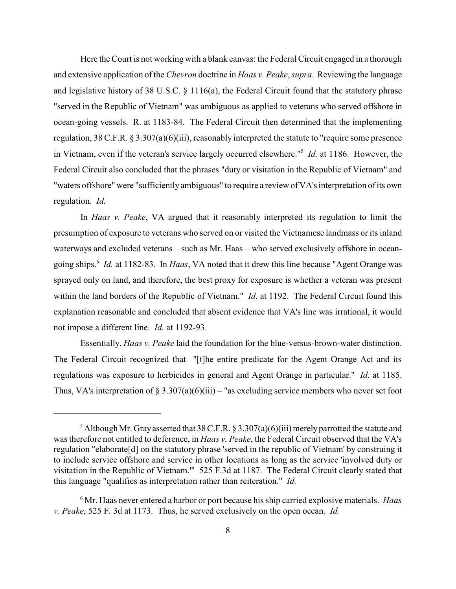Here the Court is not working with a blank canvas: the Federal Circuit engaged in a thorough and extensive application of the *Chevron* doctrine in *Haas v. Peake*, *supra*. Reviewing the language and legislative history of 38 U.S.C. § 1116(a), the Federal Circuit found that the statutory phrase "served in the Republic of Vietnam" was ambiguous as applied to veterans who served offshore in ocean-going vessels. R. at 1183-84. The Federal Circuit then determined that the implementing regulation, 38 C.F.R. § 3.307(a)(6)(iii), reasonably interpreted the statute to "require some presence in Vietnam, even if the veteran's service largely occurred elsewhere."<sup>5</sup> *Id.* at 1186. However, the Federal Circuit also concluded that the phrases "duty or visitation in the Republic of Vietnam" and "waters offshore" were "sufficiently ambiguous" to require a review of VA's interpretation of its own regulation. *Id.*

In *Haas v. Peake*, VA argued that it reasonably interpreted its regulation to limit the presumption of exposure to veterans who served on or visited the Vietnamese landmass or its inland waterways and excluded veterans – such as Mr. Haas – who served exclusively offshore in oceangoing ships.<sup>6</sup> *Id.* at 1182-83. In *Haas*, VA noted that it drew this line because "Agent Orange was sprayed only on land, and therefore, the best proxy for exposure is whether a veteran was present within the land borders of the Republic of Vietnam." *Id.* at 1192. The Federal Circuit found this explanation reasonable and concluded that absent evidence that VA's line was irrational, it would not impose a different line. *Id.* at 1192-93.

Essentially, *Haas v. Peake* laid the foundation for the blue-versus-brown-water distinction. The Federal Circuit recognized that "[t]he entire predicate for the Agent Orange Act and its regulations was exposure to herbicides in general and Agent Orange in particular." *Id.* at 1185. Thus, VA's interpretation of § 3.307(a)(6)(iii) – "as excluding service members who never set foot

<sup>&</sup>lt;sup>5</sup> Although Mr. Gray asserted that 38 C.F.R. § 3.307(a)(6)(iii) merely parrotted the statute and was therefore not entitled to deference, in *Haas v. Peake*, the Federal Circuit observed that the VA's regulation "elaborate[d] on the statutory phrase 'served in the republic of Vietnam' by construing it to include service offshore and service in other locations as long as the service 'involved duty or visitation in the Republic of Vietnam."' 525 F.3d at 1187. The Federal Circuit clearly stated that this language "qualifies as interpretation rather than reiteration." *Id.*

<sup>&</sup>lt;sup>6</sup> Mr. Haas never entered a harbor or port because his ship carried explosive materials. *Haas v. Peake*, 525 F. 3d at 1173. Thus, he served exclusively on the open ocean. *Id.*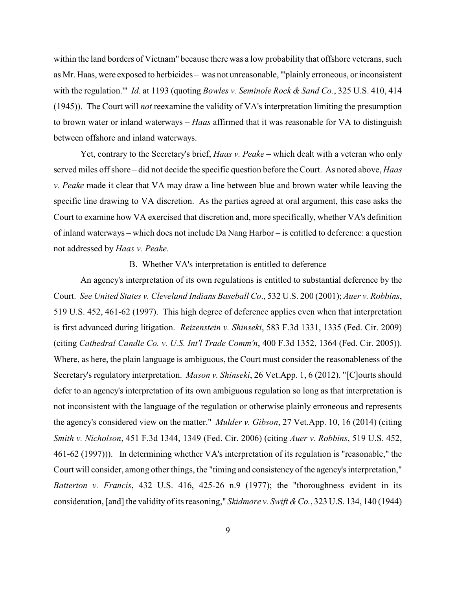within the land borders of Vietnam" because there was a low probability that offshore veterans, such as Mr. Haas, were exposed to herbicides – was not unreasonable, "'plainly erroneous, or inconsistent with the regulation.'" *Id.* at 1193 (quoting *Bowles v. Seminole Rock & Sand Co.*, 325 U.S. 410, 414 (1945)). The Court will *not* reexamine the validity of VA's interpretation limiting the presumption to brown water or inland waterways – *Haas* affirmed that it was reasonable for VA to distinguish between offshore and inland waterways.

Yet, contrary to the Secretary's brief, *Haas v. Peake* – which dealt with a veteran who only served miles off shore – did not decide the specific question before the Court. As noted above, *Haas v. Peake* made it clear that VA may draw a line between blue and brown water while leaving the specific line drawing to VA discretion. As the parties agreed at oral argument, this case asks the Court to examine how VA exercised that discretion and, more specifically, whether VA's definition of inland waterways – which does not include Da Nang Harbor – is entitled to deference: a question not addressed by *Haas v. Peake*.

B. Whether VA's interpretation is entitled to deference

An agency's interpretation of its own regulations is entitled to substantial deference by the Court. *See United States v. Cleveland Indians Baseball Co*., 532 U.S. 200 (2001); *Auer v. Robbins*, 519 U.S. 452, 461-62 (1997). This high degree of deference applies even when that interpretation is first advanced during litigation. *Reizenstein v. Shinseki*, 583 F.3d 1331, 1335 (Fed. Cir. 2009) (citing *Cathedral Candle Co. v. U.S. Int'l Trade Comm'n*, 400 F.3d 1352, 1364 (Fed. Cir. 2005)). Where, as here, the plain language is ambiguous, the Court must consider the reasonableness of the Secretary's regulatory interpretation. *Mason v. Shinseki*, 26 Vet.App. 1, 6 (2012). "[C]ourts should defer to an agency's interpretation of its own ambiguous regulation so long as that interpretation is not inconsistent with the language of the regulation or otherwise plainly erroneous and represents the agency's considered view on the matter." *Mulder v. Gibson*, 27 Vet.App. 10, 16 (2014) (citing *Smith v. Nicholson*, 451 F.3d 1344, 1349 (Fed. Cir. 2006) (citing *Auer v. Robbins*, 519 U.S. 452, 461-62 (1997))). In determining whether VA's interpretation of its regulation is "reasonable," the Court will consider, among other things, the "timing and consistency of the agency's interpretation," *Batterton v. Francis*, 432 U.S. 416, 425-26 n.9 (1977); the "thoroughness evident in its consideration, [and] the validity of its reasoning," *Skidmore v. Swift &Co.*, 323 U.S. 134, 140 (1944)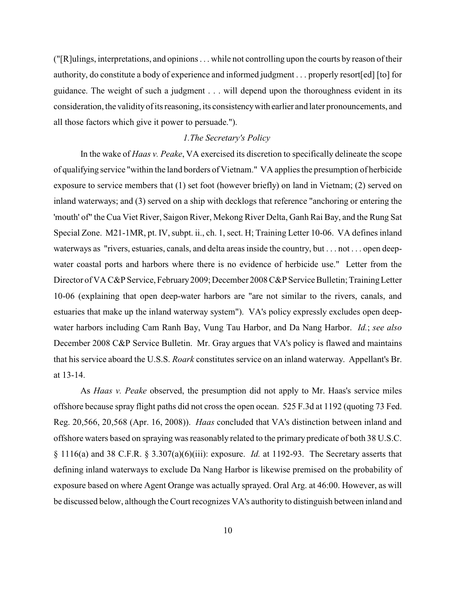("[R]ulings, interpretations, and opinions . . . while not controlling upon the courts by reason of their authority, do constitute a body of experience and informed judgment . . . properly resort[ed] [to] for guidance. The weight of such a judgment . . . will depend upon the thoroughness evident in its consideration, the validityof its reasoning, its consistencywith earlier and later pronouncements, and all those factors which give it power to persuade.").

## *1.The Secretary's Policy*

In the wake of *Haas v. Peake*, VA exercised its discretion to specifically delineate the scope of qualifying service "within the land borders of Vietnam." VA applies the presumption of herbicide exposure to service members that (1) set foot (however briefly) on land in Vietnam; (2) served on inland waterways; and (3) served on a ship with decklogs that reference "anchoring or entering the 'mouth' of" the Cua Viet River, Saigon River, Mekong River Delta, Ganh Rai Bay, and the Rung Sat Special Zone. M21-1MR, pt. IV, subpt. ii., ch. 1, sect. H; Training Letter 10-06. VA defines inland waterways as "rivers, estuaries, canals, and delta areas inside the country, but . . . not . . . open deepwater coastal ports and harbors where there is no evidence of herbicide use." Letter from the Director of VA C&P Service, February 2009; December 2008 C&P Service Bulletin; Training Letter 10-06 (explaining that open deep-water harbors are "are not similar to the rivers, canals, and estuaries that make up the inland waterway system"). VA's policy expressly excludes open deepwater harbors including Cam Ranh Bay, Vung Tau Harbor, and Da Nang Harbor. *Id.*; *see also* December 2008 C&P Service Bulletin. Mr. Gray argues that VA's policy is flawed and maintains that his service aboard the U.S.S. *Roark* constitutes service on an inland waterway. Appellant's Br. at 13-14.

As *Haas v. Peake* observed, the presumption did not apply to Mr. Haas's service miles offshore because spray flight paths did not cross the open ocean. 525 F.3d at 1192 (quoting 73 Fed. Reg. 20,566, 20,568 (Apr. 16, 2008)). *Haas* concluded that VA's distinction between inland and offshore waters based on spraying was reasonably related to the primary predicate of both 38 U.S.C. § 1116(a) and 38 C.F.R. § 3.307(a)(6)(iii): exposure. *Id.* at 1192-93. The Secretary asserts that defining inland waterways to exclude Da Nang Harbor is likewise premised on the probability of exposure based on where Agent Orange was actually sprayed. Oral Arg. at 46:00. However, as will be discussed below, although the Court recognizes VA's authority to distinguish between inland and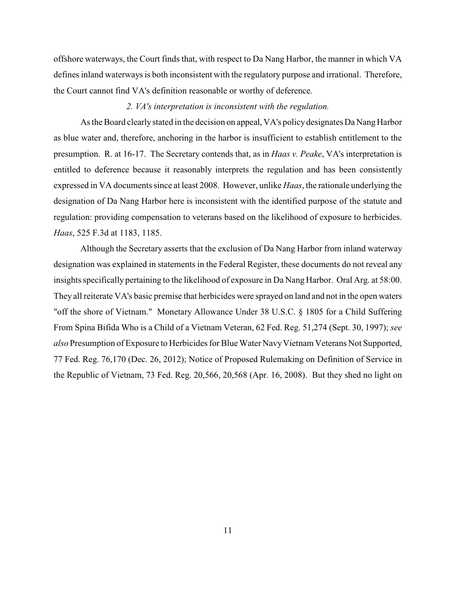offshore waterways, the Court finds that, with respect to Da Nang Harbor, the manner in which VA defines inland waterways is both inconsistent with the regulatory purpose and irrational. Therefore, the Court cannot find VA's definition reasonable or worthy of deference.

#### *2. VA's interpretation is inconsistent with the regulation.*

As the Board clearly stated in the decision on appeal, VA's policy designates Da Nang Harbor as blue water and, therefore, anchoring in the harbor is insufficient to establish entitlement to the presumption. R. at 16-17. The Secretary contends that, as in *Haas v. Peake*, VA's interpretation is entitled to deference because it reasonably interprets the regulation and has been consistently expressed in VA documents since at least 2008. However, unlike *Haas*, the rationale underlying the designation of Da Nang Harbor here is inconsistent with the identified purpose of the statute and regulation: providing compensation to veterans based on the likelihood of exposure to herbicides. *Haas*, 525 F.3d at 1183, 1185.

Although the Secretary asserts that the exclusion of Da Nang Harbor from inland waterway designation was explained in statements in the Federal Register, these documents do not reveal any insights specifically pertaining to the likelihood of exposure in Da Nang Harbor. Oral Arg. at 58:00. They all reiterate VA's basic premise that herbicides were sprayed on land and not in the open waters "off the shore of Vietnam." Monetary Allowance Under 38 U.S.C. § 1805 for a Child Suffering From Spina Bifida Who is a Child of a Vietnam Veteran, 62 Fed. Reg. 51,274 (Sept. 30, 1997); *see also* Presumption of Exposure to Herbicides for Blue Water Navy Vietnam Veterans Not Supported, 77 Fed. Reg. 76,170 (Dec. 26, 2012); Notice of Proposed Rulemaking on Definition of Service in the Republic of Vietnam, 73 Fed. Reg. 20,566, 20,568 (Apr. 16, 2008). But they shed no light on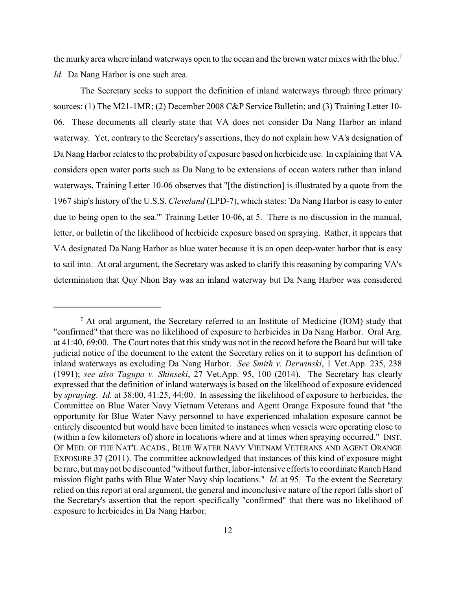the murky area where inland waterways open to the ocean and the brown water mixes with the blue.<sup>7</sup> *Id.* Da Nang Harbor is one such area.

The Secretary seeks to support the definition of inland waterways through three primary sources: (1) The M21-1MR; (2) December 2008 C&P Service Bulletin; and (3) Training Letter 10- 06. These documents all clearly state that VA does not consider Da Nang Harbor an inland waterway. Yet, contrary to the Secretary's assertions, they do not explain how VA's designation of Da Nang Harbor relates to the probability of exposure based on herbicide use. In explaining that VA considers open water ports such as Da Nang to be extensions of ocean waters rather than inland waterways, Training Letter 10-06 observes that "[the distinction] is illustrated by a quote from the 1967 ship's history of the U.S.S. *Cleveland* (LPD-7), which states: 'Da Nang Harbor is easy to enter due to being open to the sea.'" Training Letter 10-06, at 5. There is no discussion in the manual, letter, or bulletin of the likelihood of herbicide exposure based on spraying. Rather, it appears that VA designated Da Nang Harbor as blue water because it is an open deep-water harbor that is easy to sail into. At oral argument, the Secretary was asked to clarify this reasoning by comparing VA's determination that Quy Nhon Bay was an inland waterway but Da Nang Harbor was considered

 $^7$  At oral argument, the Secretary referred to an Institute of Medicine (IOM) study that "confirmed" that there was no likelihood of exposure to herbicides in Da Nang Harbor. Oral Arg. at 41:40, 69:00. The Court notes that this study was not in the record before the Board but will take judicial notice of the document to the extent the Secretary relies on it to support his definition of inland waterways as excluding Da Nang Harbor. *See Smith v. Derwinski*, 1 Vet.App. 235, 238 (1991); *see also Tagupa v. Shinseki*, 27 Vet.App. 95, 100 (2014). The Secretary has clearly expressed that the definition of inland waterways is based on the likelihood of exposure evidenced by *spraying*. *Id.* at 38:00, 41:25, 44:00. In assessing the likelihood of exposure to herbicides, the Committee on Blue Water Navy Vietnam Veterans and Agent Orange Exposure found that "the opportunity for Blue Water Navy personnel to have experienced inhalation exposure cannot be entirely discounted but would have been limited to instances when vessels were operating close to (within a few kilometers of) shore in locations where and at times when spraying occurred." INST. OF MED. OF THE NAT'L ACADS., BLUE WATER NAVY VIETNAM VETERANS AND AGENT ORANGE EXPOSURE 37 (2011). The committee acknowledged that instances of this kind of exposure might be rare, but maynot be discounted "without further, labor-intensive efforts to coordinate Ranch Hand mission flight paths with Blue Water Navy ship locations." *Id.* at 95. To the extent the Secretary relied on this report at oral argument, the general and inconclusive nature of the report falls short of the Secretary's assertion that the report specifically "confirmed" that there was no likelihood of exposure to herbicides in Da Nang Harbor.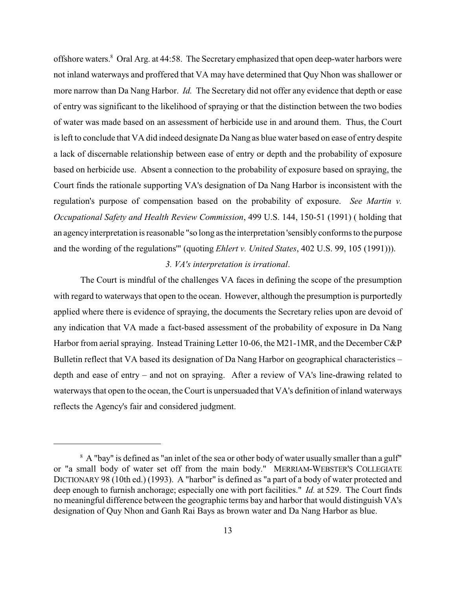offshore waters.<sup>8</sup> Oral Arg. at 44:58. The Secretary emphasized that open deep-water harbors were not inland waterways and proffered that VA may have determined that Quy Nhon was shallower or more narrow than Da Nang Harbor. *Id.* The Secretary did not offer any evidence that depth or ease of entry was significant to the likelihood of spraying or that the distinction between the two bodies of water was made based on an assessment of herbicide use in and around them. Thus, the Court is left to conclude that VA did indeed designate Da Nang as blue water based on ease of entry despite a lack of discernable relationship between ease of entry or depth and the probability of exposure based on herbicide use. Absent a connection to the probability of exposure based on spraying, the Court finds the rationale supporting VA's designation of Da Nang Harbor is inconsistent with the regulation's purpose of compensation based on the probability of exposure. *See Martin v. Occupational Safety and Health Review Commission*, 499 U.S. 144, 150-51 (1991) ( holding that an agencyinterpretation is reasonable "so long as the interpretation 'sensiblyconforms to the purpose and the wording of the regulations'" (quoting *Ehlert v. United States*, 402 U.S. 99, 105 (1991))).

#### *3. VA's interpretation is irrational*.

The Court is mindful of the challenges VA faces in defining the scope of the presumption with regard to waterways that open to the ocean. However, although the presumption is purportedly applied where there is evidence of spraying, the documents the Secretary relies upon are devoid of any indication that VA made a fact-based assessment of the probability of exposure in Da Nang Harbor from aerial spraying. Instead Training Letter 10-06, the M21-1MR, and the December C&P Bulletin reflect that VA based its designation of Da Nang Harbor on geographical characteristics – depth and ease of entry – and not on spraying. After a review of VA's line-drawing related to waterways that open to the ocean, the Court is unpersuaded that VA's definition of inland waterways reflects the Agency's fair and considered judgment.

<sup>&</sup>lt;sup>8</sup> A "bay" is defined as "an inlet of the sea or other body of water usually smaller than a gulf" or "a small body of water set off from the main body." MERRIAM-WEBSTER'S COLLEGIATE DICTIONARY 98 (10th ed.) (1993). A "harbor" is defined as "a part of a body of water protected and deep enough to furnish anchorage; especially one with port facilities." *Id.* at 529. The Court finds no meaningful difference between the geographic terms bay and harbor that would distinguish VA's designation of Quy Nhon and Ganh Rai Bays as brown water and Da Nang Harbor as blue.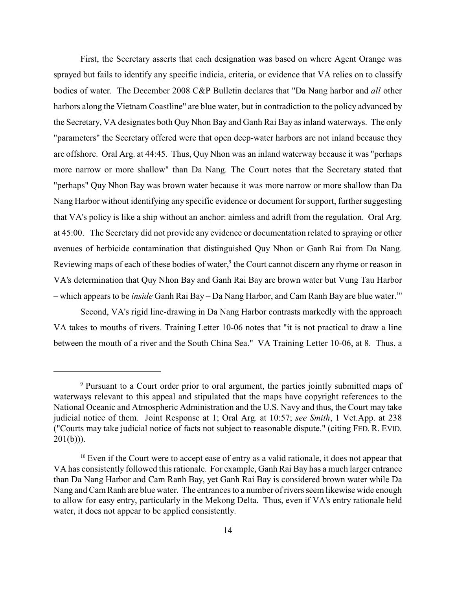First, the Secretary asserts that each designation was based on where Agent Orange was sprayed but fails to identify any specific indicia, criteria, or evidence that VA relies on to classify bodies of water. The December 2008 C&P Bulletin declares that "Da Nang harbor and *all* other harbors along the Vietnam Coastline" are blue water, but in contradiction to the policy advanced by the Secretary, VA designates both Quy Nhon Bay and Ganh Rai Bay as inland waterways. The only "parameters" the Secretary offered were that open deep-water harbors are not inland because they are offshore. Oral Arg. at 44:45. Thus, Quy Nhon was an inland waterway because it was "perhaps more narrow or more shallow" than Da Nang. The Court notes that the Secretary stated that "perhaps" Quy Nhon Bay was brown water because it was more narrow or more shallow than Da Nang Harbor without identifying any specific evidence or document for support, further suggesting that VA's policy is like a ship without an anchor: aimless and adrift from the regulation. Oral Arg. at 45:00. The Secretary did not provide any evidence or documentation related to spraying or other avenues of herbicide contamination that distinguished Quy Nhon or Ganh Rai from Da Nang. Reviewing maps of each of these bodies of water,<sup>9</sup> the Court cannot discern any rhyme or reason in VA's determination that Quy Nhon Bay and Ganh Rai Bay are brown water but Vung Tau Harbor – which appears to be *inside* Ganh Rai Bay – Da Nang Harbor, and Cam Ranh Bay are blue water. 10

Second, VA's rigid line-drawing in Da Nang Harbor contrasts markedly with the approach VA takes to mouths of rivers. Training Letter 10-06 notes that "it is not practical to draw a line between the mouth of a river and the South China Sea." VA Training Letter 10-06, at 8. Thus, a

<sup>&</sup>lt;sup>9</sup> Pursuant to a Court order prior to oral argument, the parties jointly submitted maps of waterways relevant to this appeal and stipulated that the maps have copyright references to the National Oceanic and Atmospheric Administration and the U.S. Navy and thus, the Court may take judicial notice of them. Joint Response at 1; Oral Arg. at 10:57; *see Smith*, 1 Vet.App. at 238 ("Courts may take judicial notice of facts not subject to reasonable dispute." (citing FED. R. EVID.  $201(b))$ ).

 $10$  Even if the Court were to accept ease of entry as a valid rationale, it does not appear that VA has consistently followed this rationale. For example, Ganh Rai Bay has a much larger entrance than Da Nang Harbor and Cam Ranh Bay, yet Ganh Rai Bay is considered brown water while Da Nang and Cam Ranh are blue water. The entrances to a number of rivers seem likewise wide enough to allow for easy entry, particularly in the Mekong Delta. Thus, even if VA's entry rationale held water, it does not appear to be applied consistently.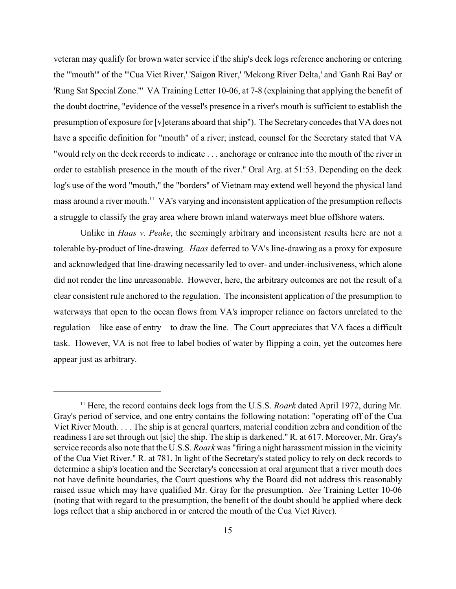veteran may qualify for brown water service if the ship's deck logs reference anchoring or entering the "'mouth'" of the "'Cua Viet River,' 'Saigon River,' 'Mekong River Delta,' and 'Ganh Rai Bay' or 'Rung Sat Special Zone.'" VA Training Letter 10-06, at 7-8 (explaining that applying the benefit of the doubt doctrine, "evidence of the vessel's presence in a river's mouth is sufficient to establish the presumption of exposure for [v]eterans aboard that ship"). The Secretary concedes that VA does not have a specific definition for "mouth" of a river; instead, counsel for the Secretary stated that VA "would rely on the deck records to indicate . . . anchorage or entrance into the mouth of the river in order to establish presence in the mouth of the river." Oral Arg. at 51:53. Depending on the deck log's use of the word "mouth," the "borders" of Vietnam may extend well beyond the physical land mass around a river mouth.<sup>11</sup> VA's varying and inconsistent application of the presumption reflects a struggle to classify the gray area where brown inland waterways meet blue offshore waters.

Unlike in *Haas v. Peake*, the seemingly arbitrary and inconsistent results here are not a tolerable by-product of line-drawing. *Haas* deferred to VA's line-drawing as a proxy for exposure and acknowledged that line-drawing necessarily led to over- and under-inclusiveness, which alone did not render the line unreasonable. However, here, the arbitrary outcomes are not the result of a clear consistent rule anchored to the regulation. The inconsistent application of the presumption to waterways that open to the ocean flows from VA's improper reliance on factors unrelated to the regulation – like ease of entry – to draw the line. The Court appreciates that VA faces a difficult task. However, VA is not free to label bodies of water by flipping a coin, yet the outcomes here appear just as arbitrary.

 $^{11}$  Here, the record contains deck logs from the U.S.S. *Roark* dated April 1972, during Mr. Gray's period of service, and one entry contains the following notation: "operating off of the Cua Viet River Mouth. . . . The ship is at general quarters, material condition zebra and condition of the readiness I are set through out [sic] the ship. The ship is darkened." R. at 617. Moreover, Mr. Gray's service records also note that the U.S.S. *Roark* was "firing a night harassment mission in the vicinity of the Cua Viet River." R. at 781. In light of the Secretary's stated policy to rely on deck records to determine a ship's location and the Secretary's concession at oral argument that a river mouth does not have definite boundaries, the Court questions why the Board did not address this reasonably raised issue which may have qualified Mr. Gray for the presumption. *See* Training Letter 10-06 (noting that with regard to the presumption, the benefit of the doubt should be applied where deck logs reflect that a ship anchored in or entered the mouth of the Cua Viet River).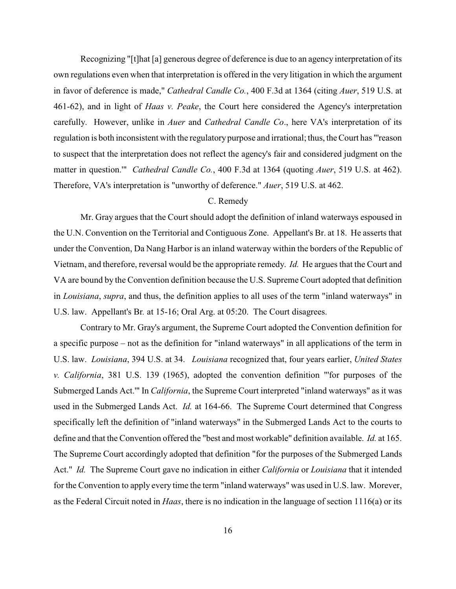Recognizing "[t]hat [a] generous degree of deference is due to an agency interpretation of its own regulations even when that interpretation is offered in the very litigation in which the argument in favor of deference is made," *Cathedral Candle Co.*, 400 F.3d at 1364 (citing *Auer*, 519 U.S. at 461-62), and in light of *Haas v. Peake*, the Court here considered the Agency's interpretation carefully. However, unlike in *Auer* and *Cathedral Candle Co*., here VA's interpretation of its regulation is both inconsistent with the regulatory purpose and irrational; thus, the Court has "'reason to suspect that the interpretation does not reflect the agency's fair and considered judgment on the matter in question.'" *Cathedral Candle Co.*, 400 F.3d at 1364 (quoting *Auer*, 519 U.S. at 462). Therefore, VA's interpretation is "unworthy of deference." *Auer*, 519 U.S. at 462.

## C. Remedy

Mr. Gray argues that the Court should adopt the definition of inland waterways espoused in the U.N. Convention on the Territorial and Contiguous Zone. Appellant's Br. at 18. He asserts that under the Convention, Da Nang Harbor is an inland waterway within the borders of the Republic of Vietnam, and therefore, reversal would be the appropriate remedy. *Id.* He argues that the Court and VA are bound by the Convention definition because the U.S. Supreme Court adopted that definition in *Louisiana*, *supra*, and thus, the definition applies to all uses of the term "inland waterways" in U.S. law. Appellant's Br*.* at 15-16; Oral Arg. at 05:20. The Court disagrees.

Contrary to Mr. Gray's argument, the Supreme Court adopted the Convention definition for a specific purpose – not as the definition for "inland waterways" in all applications of the term in U.S. law. *Louisiana*, 394 U.S. at 34. *Louisiana* recognized that, four years earlier, *United States v. California*, 381 U.S. 139 (1965), adopted the convention definition "'for purposes of the Submerged Lands Act.'" In *California*, the Supreme Court interpreted "inland waterways" as it was used in the Submerged Lands Act. *Id.* at 164-66. The Supreme Court determined that Congress specifically left the definition of "inland waterways" in the Submerged Lands Act to the courts to define and that the Convention offered the "best and most workable" definition available. *Id.* at 165. The Supreme Court accordingly adopted that definition "for the purposes of the Submerged Lands Act." *Id.* The Supreme Court gave no indication in either *California* or *Louisiana* that it intended for the Convention to apply every time the term "inland waterways" was used in U.S. law. Morever, as the Federal Circuit noted in *Haas*, there is no indication in the language of section 1116(a) or its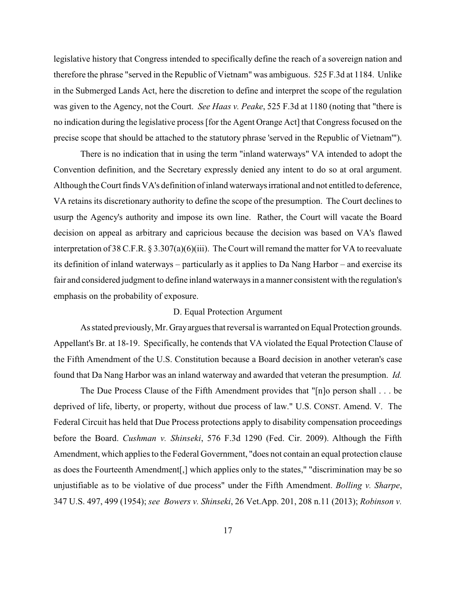legislative history that Congress intended to specifically define the reach of a sovereign nation and therefore the phrase "served in the Republic of Vietnam" was ambiguous. 525 F.3d at 1184. Unlike in the Submerged Lands Act, here the discretion to define and interpret the scope of the regulation was given to the Agency, not the Court. *See Haas v. Peake*, 525 F.3d at 1180 (noting that "there is no indication during the legislative process [for the Agent Orange Act] that Congress focused on the precise scope that should be attached to the statutory phrase 'served in the Republic of Vietnam'").

There is no indication that in using the term "inland waterways" VA intended to adopt the Convention definition, and the Secretary expressly denied any intent to do so at oral argument. Although the Court finds VA's definition of inland waterwaysirrational and not entitled to deference, VA retains its discretionary authority to define the scope of the presumption. The Court declines to usurp the Agency's authority and impose its own line. Rather, the Court will vacate the Board decision on appeal as arbitrary and capricious because the decision was based on VA's flawed interpretation of 38 C.F.R. § 3.307(a)(6)(iii). The Court will remand the matter for VA to reevaluate its definition of inland waterways – particularly as it applies to Da Nang Harbor – and exercise its fair and considered judgment to define inland waterways in a manner consistent with the regulation's emphasis on the probability of exposure.

#### D. Equal Protection Argument

As stated previously, Mr. Grayargues that reversal is warranted on Equal Protection grounds. Appellant's Br. at 18-19. Specifically, he contends that VA violated the Equal Protection Clause of the Fifth Amendment of the U.S. Constitution because a Board decision in another veteran's case found that Da Nang Harbor was an inland waterway and awarded that veteran the presumption. *Id.*

The Due Process Clause of the Fifth Amendment provides that "[n]o person shall . . . be deprived of life, liberty, or property, without due process of law." U.S. CONST. Amend. V. The Federal Circuit has held that Due Process protections apply to disability compensation proceedings before the Board. *Cushman v. Shinseki*, 576 F.3d 1290 (Fed. Cir. 2009). Although the Fifth Amendment, which applies to the Federal Government, "does not contain an equal protection clause as does the Fourteenth Amendment[,] which applies only to the states," "discrimination may be so unjustifiable as to be violative of due process" under the Fifth Amendment. *Bolling v. Sharpe*, 347 U.S. 497, 499 (1954); *see Bowers v. Shinseki*, 26 Vet.App. 201, 208 n.11 (2013); *Robinson v.*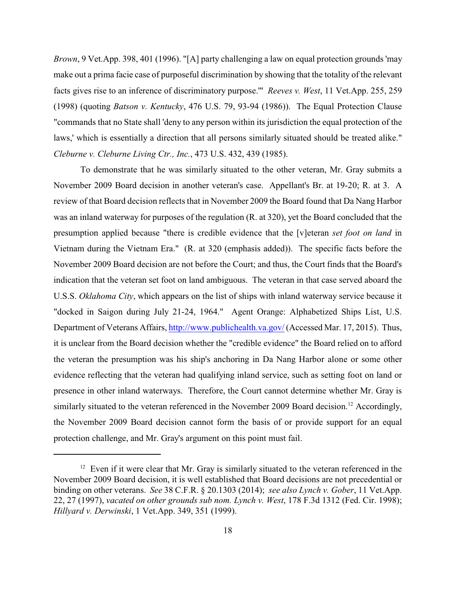*Brown*, 9 Vet.App. 398, 401 (1996). "[A] party challenging a law on equal protection grounds 'may make out a prima facie case of purposeful discrimination by showing that the totality of the relevant facts gives rise to an inference of discriminatory purpose.'" *Reeves v. West*, 11 Vet.App. 255, 259 (1998) (quoting *Batson v. Kentucky*, 476 U.S. 79, 93-94 (1986)). The Equal Protection Clause "commands that no State shall 'deny to any person within its jurisdiction the equal protection of the laws,' which is essentially a direction that all persons similarly situated should be treated alike." *Cleburne v. Cleburne Living Ctr., Inc.*, 473 U.S. 432, 439 (1985).

To demonstrate that he was similarly situated to the other veteran, Mr. Gray submits a November 2009 Board decision in another veteran's case. Appellant's Br. at 19-20; R. at 3. A review of that Board decision reflects that in November 2009 the Board found that Da Nang Harbor was an inland waterway for purposes of the regulation (R. at 320), yet the Board concluded that the presumption applied because "there is credible evidence that the [v]eteran *set foot on land* in Vietnam during the Vietnam Era." (R. at 320 (emphasis added)). The specific facts before the November 2009 Board decision are not before the Court; and thus, the Court finds that the Board's indication that the veteran set foot on land ambiguous. The veteran in that case served aboard the U.S.S. *Oklahoma City*, which appears on the list of ships with inland waterway service because it "docked in Saigon during July 21-24, 1964." Agent Orange: Alphabetized Ships List, U.S. Department of Veterans Affairs, [http://www.publichealth.va.gov/](#page-17-0) (Accessed Mar. 17, 2015). Thus, it is unclear from the Board decision whether the "credible evidence" the Board relied on to afford the veteran the presumption was his ship's anchoring in Da Nang Harbor alone or some other evidence reflecting that the veteran had qualifying inland service, such as setting foot on land or presence in other inland waterways. Therefore, the Court cannot determine whether Mr. Gray is similarly situated to the veteran referenced in the November 2009 Board decision.<sup>12</sup> Accordingly, the November 2009 Board decision cannot form the basis of or provide support for an equal protection challenge, and Mr. Gray's argument on this point must fail.

<span id="page-17-0"></span> $12$  Even if it were clear that Mr. Gray is similarly situated to the veteran referenced in the November 2009 Board decision, it is well established that Board decisions are not precedential or binding on other veterans. *See* 38 C.F.R. § 20.1303 (2014); *see also Lynch v. Gober*, 11 Vet.App. 22, 27 (1997), *vacated on other grounds sub nom. Lynch v. West*, 178 F.3d 1312 (Fed. Cir. 1998); *Hillyard v. Derwinski*, 1 Vet.App. 349, 351 (1999).